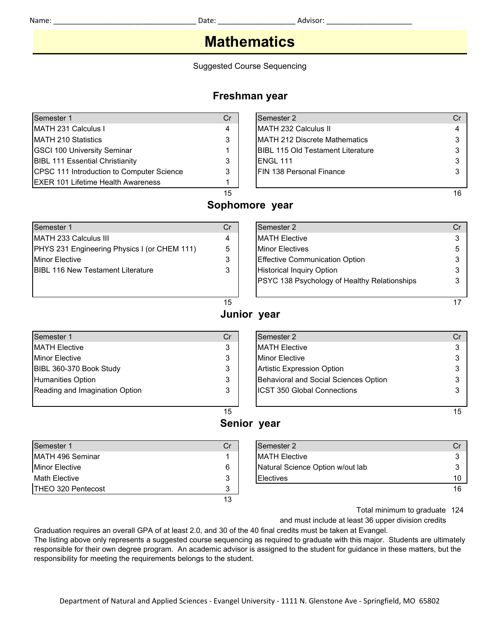## **Mathematics**

Suggested Course Sequencing

### **Freshman year**

| Semester 1                                 | Cr | Semester 2                                |    |
|--------------------------------------------|----|-------------------------------------------|----|
| <b>IMATH 231 Calculus I</b>                | 4  | <b>IMATH 232 Calculus II</b>              |    |
| <b>IMATH 210 Statistics</b>                | 3  | <b>IMATH 212 Discrete Mathematics</b>     |    |
| <b>IGSCI 100 University Seminar</b>        |    | <b>IBIBL 115 Old Testament Literature</b> |    |
| <b>BIBL 111 Essential Christianity</b>     |    | IENGL 111                                 |    |
| CPSC 111 Introduction to Computer Science  | 3  | <b>IFIN 138 Personal Finance</b>          |    |
| <b>IEXER 101 Lifetime Health Awareness</b> |    |                                           |    |
|                                            | 15 |                                           | 16 |

| Semester 1                                   |
|----------------------------------------------|
| MATH 233 Calculus III                        |
| PHYS 231 Engineering Physics I (or CHEM 111) |
| <b>Minor Elective</b>                        |
| <b>IBIBL 116 New Testament Literature</b>    |
|                                              |

### **Sophomore year**

| Semester 1                                   | Cr | Semester 2                                          |  |
|----------------------------------------------|----|-----------------------------------------------------|--|
| MATH 233 Calculus III                        | 4  | <b>IMATH Elective</b>                               |  |
| PHYS 231 Engineering Physics I (or CHEM 111) | 5  | <b>Minor Electives</b>                              |  |
| Minor Elective                               | າ  | <b>Effective Communication Option</b>               |  |
| BIBL 116 New Testament Literature            | ◠  | <b>Historical Inquiry Option</b>                    |  |
|                                              |    | <b>PSYC 138 Psychology of Healthy Relationships</b> |  |
|                                              |    |                                                     |  |

#### $15$  and  $17$

**Junior year**

## Semester 1 Cr | Semester 2 Cr MATH Elective 3 MATH Elective 3 Minor Elective 3 3 Minor Elective 3 Minor Elective 3 3 Minor Elective 3 3 Minor Elective 3 3  $\sim$ BIBL 360-370 Book Study 3 Artistic Expression Option 3 3 Artistic Expression Option 3 Humanities Option **3** Behavioral and Social Sciences Option 3 3 Reading and Imagination Option 3 **ICST 350** Global Connections 3 3

| Semester 1            | Cr | Semester 2                       | Cr |
|-----------------------|----|----------------------------------|----|
| MATH 496 Seminar      |    | <b>MATH Elective</b>             | 3  |
| <b>Minor Elective</b> | 6  | Natural Science Option w/out lab | 3  |
| Math Elective         | 3  | <b>IElectives</b>                | 10 |
| THEO 320 Pentecost    | 3  |                                  | 16 |
|                       | 13 |                                  |    |

|                  | 15 |                                  | 15 |
|------------------|----|----------------------------------|----|
|                  |    | Senior year                      |    |
| Semester 1       | Cr | Semester 2                       | Cr |
| MATH 496 Seminar |    | <b>IMATH Elective</b>            |    |
| Minor Elective   | 6  | Natural Science Option w/out lab |    |
| Math Flective    | વ  | <b>IFlectives</b>                | 10 |

Total minimum to graduate 124

and must include at least 36 upper division credits

Graduation requires an overall GPA of at least 2.0, and 30 of the 40 final credits must be taken at Evangel.

The listing above only represents a suggested course sequencing as required to graduate with this major. Students are ultimately responsible for their own degree program. An academic advisor is assigned to the student for guidance in these matters, but the responsibility for meeting the requirements belongs to the student.